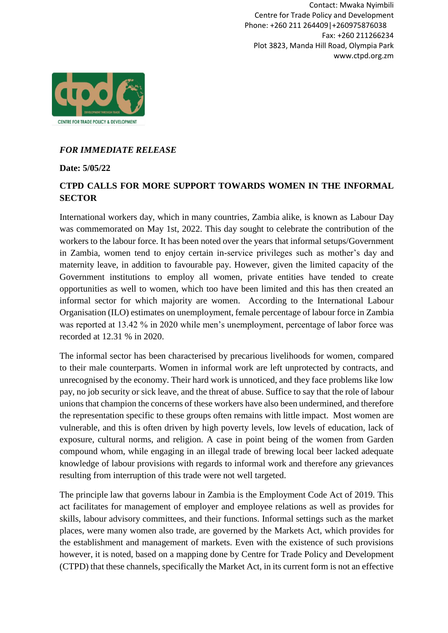Contact: Mwaka Nyimbili Centre for Trade Policy and Development Phone: +260 211 264409|+260975876038 Fax: +260 211266234 Plot 3823, Manda Hill Road, Olympia Park www.ctpd.org.zm



## *FOR IMMEDIATE RELEASE*

**Date: 5/05/22**

## **CTPD CALLS FOR MORE SUPPORT TOWARDS WOMEN IN THE INFORMAL SECTOR**

International workers day, which in many countries, Zambia alike, is known as Labour Day was commemorated on May 1st, 2022. This day sought to celebrate the contribution of the workers to the labour force. It has been noted over the years that informal setups/Government in Zambia, women tend to enjoy certain in-service privileges such as mother's day and maternity leave, in addition to favourable pay. However, given the limited capacity of the Government institutions to employ all women, private entities have tended to create opportunities as well to women, which too have been limited and this has then created an informal sector for which majority are women. According to the International Labour Organisation (ILO) estimates on unemployment, female percentage of labour force in Zambia was reported at 13.42 % in 2020 while men's unemployment, percentage of labor force was recorded at 12.31 % in 2020.

The informal sector has been characterised by precarious livelihoods for women, compared to their male counterparts. Women in informal work are left unprotected by contracts, and unrecognised by the economy. Their hard work is unnoticed, and they face problems like low pay, no job security or sick leave, and the threat of abuse. Suffice to say that the role of labour unions that champion the concerns of these workers have also been undermined, and therefore the representation specific to these groups often remains with little impact. Most women are vulnerable, and this is often driven by high poverty levels, low levels of education, lack of exposure, cultural norms, and religion. A case in point being of the women from Garden compound whom, while engaging in an illegal trade of brewing local beer lacked adequate knowledge of labour provisions with regards to informal work and therefore any grievances resulting from interruption of this trade were not well targeted.

The principle law that governs labour in Zambia is the Employment Code Act of 2019. This act facilitates for management of employer and employee relations as well as provides for skills, labour advisory committees, and their functions. Informal settings such as the market places, were many women also trade, are governed by the Markets Act, which provides for the establishment and management of markets. Even with the existence of such provisions however, it is noted, based on a mapping done by Centre for Trade Policy and Development (CTPD) that these channels, specifically the Market Act, in its current form is not an effective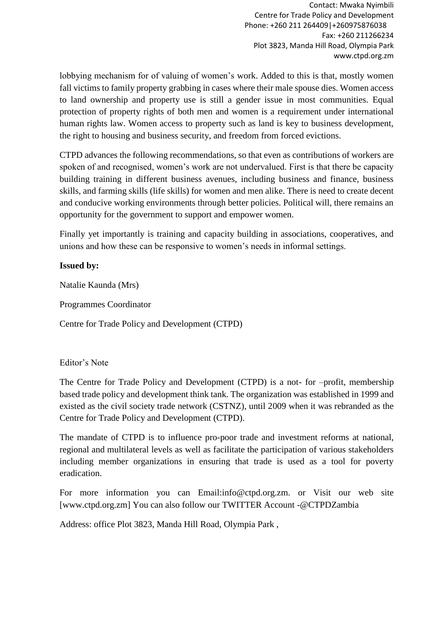Contact: Mwaka Nyimbili Centre for Trade Policy and Development Phone: +260 211 264409|+260975876038 Fax: +260 211266234 Plot 3823, Manda Hill Road, Olympia Park www.ctpd.org.zm

lobbying mechanism for of valuing of women's work. Added to this is that, mostly women fall victims to family property grabbing in cases where their male spouse dies. Women access to land ownership and property use is still a gender issue in most communities. Equal protection of property rights of both men and women is a requirement under international human rights law. Women access to property such as land is key to business development, the right to housing and business security, and freedom from forced evictions.

CTPD advances the following recommendations, so that even as contributions of workers are spoken of and recognised, women's work are not undervalued. First is that there be capacity building training in different business avenues, including business and finance, business skills, and farming skills (life skills) for women and men alike. There is need to create decent and conducive working environments through better policies. Political will, there remains an opportunity for the government to support and empower women.

Finally yet importantly is training and capacity building in associations, cooperatives, and unions and how these can be responsive to women's needs in informal settings.

## **Issued by:**

Natalie Kaunda (Mrs)

Programmes Coordinator

Centre for Trade Policy and Development (CTPD)

## Editor's Note

The Centre for Trade Policy and Development (CTPD) is a not- for –profit, membership based trade policy and development think tank. The organization was established in 1999 and existed as the civil society trade network (CSTNZ), until 2009 when it was rebranded as the Centre for Trade Policy and Development (CTPD).

The mandate of CTPD is to influence pro-poor trade and investment reforms at national, regional and multilateral levels as well as facilitate the participation of various stakeholders including member organizations in ensuring that trade is used as a tool for poverty eradication.

For more information you can Email:info@ctpd.org.zm. or Visit our web site [www.ctpd.org.zm] You can also follow our TWITTER Account -@CTPDZambia

Address: office Plot 3823, Manda Hill Road, Olympia Park ,